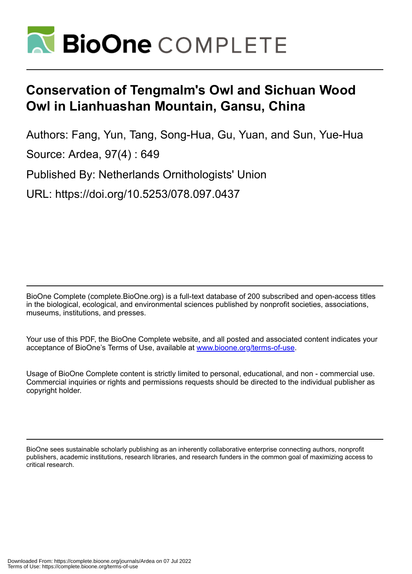

## **Conservation of Tengmalm's Owl and Sichuan Wood Owl in Lianhuashan Mountain, Gansu, China**

Authors: Fang, Yun, Tang, Song-Hua, Gu, Yuan, and Sun, Yue-Hua

Source: Ardea, 97(4) : 649

Published By: Netherlands Ornithologists' Union

URL: https://doi.org/10.5253/078.097.0437

BioOne Complete (complete.BioOne.org) is a full-text database of 200 subscribed and open-access titles in the biological, ecological, and environmental sciences published by nonprofit societies, associations, museums, institutions, and presses.

Your use of this PDF, the BioOne Complete website, and all posted and associated content indicates your acceptance of BioOne's Terms of Use, available at www.bioone.org/terms-of-use.

Usage of BioOne Complete content is strictly limited to personal, educational, and non - commercial use. Commercial inquiries or rights and permissions requests should be directed to the individual publisher as copyright holder.

BioOne sees sustainable scholarly publishing as an inherently collaborative enterprise connecting authors, nonprofit publishers, academic institutions, research libraries, and research funders in the common goal of maximizing access to critical research.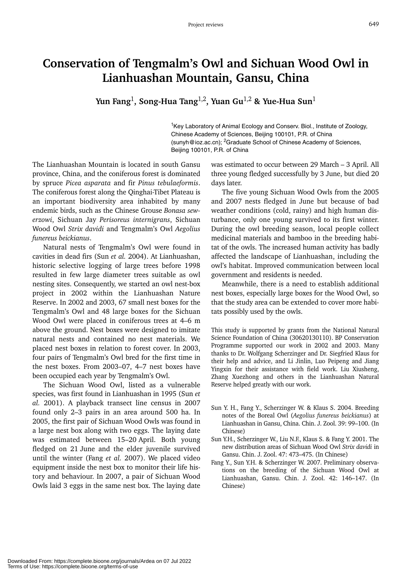## **Conservation of Tengmalm's Owl and Sichuan Wood Owl in Lianhuashan Mountain, Gansu, China**

**Yun Fang**1**, Song-Hua Tang**1,2**, Yuan Gu**1,2 **& Yue-Hua Sun**<sup>1</sup>

<sup>1</sup>Key Laboratory of Animal Ecology and Conserv. Biol., Institute of Zoology, Chinese Academy of Sciences, Beijing 100101, P.R. of China (sunyh@ioz.ac.cn); <sup>2</sup>Graduate School of Chinese Academy of Sciences, Beijing 100101, P.R. of China

The Lianhuashan Mountain is located in south Gansu province, China, and the coniferous forest is dominated by spruce *Picea asparata* and fir *Pinus tebulaeformis*. The coniferous forest along the Qinghai-Tibet Plateau is an important biodiversity area inhabited by many endemic birds, such as the Chinese Grouse *Bonasa sewerzowi*, Sichuan Jay *Perisoreus internigrans*, Sichuan Wood Owl *Strix davidi* and Tengmalm's Owl *Aegolius funereus beickianus*.

Natural nests of Tengmalm's Owl were found in cavities in dead firs (Sun *et al.* 2004). At Lianhuashan, historic selective logging of large trees before 1998 resulted in few large diameter trees suitable as owl nesting sites. Consequently, we started an owl nest-box project in 2002 within the Lianhuashan Nature Reserve. In 2002 and 2003, 67 small nest boxes for the Tengmalm's Owl and 48 large boxes for the Sichuan Wood Owl were placed in coniferous trees at 4–6 m above the ground. Nest boxes were designed to imitate natural nests and contained no nest materials. We placed nest boxes in relation to forest cover. In 2003, four pairs of Tengmalm's Owl bred for the first time in the nest boxes. From 2003–07, 4–7 nest boxes have been occupied each year by Tengmalm's Owl.

The Sichuan Wood Owl, listed as a vulnerable species, was first found in Lianhuashan in 1995 (Sun *et al.* 2001). A playback transect line census in 2007 found only 2–3 pairs in an area around 500 ha. In 2005, the first pair of Sichuan Wood Owls was found in a large nest box along with two eggs. The laying date was estimated between 15–20 April. Both young fledged on 21 June and the elder juvenile survived until the winter (Fang *et al.* 2007). We placed video equipment inside the nest box to monitor their life history and behaviour. In 2007, a pair of Sichuan Wood Owls laid 3 eggs in the same nest box. The laying date was estimated to occur between 29 March – 3 April. All three young fledged successfully by 3 June, but died 20 days later.

The five young Sichuan Wood Owls from the 2005 and 2007 nests fledged in June but because of bad weather conditions (cold, rainy) and high human disturbance, only one young survived to its first winter. During the owl breeding season, local people collect medicinal materials and bamboo in the breeding habitat of the owls. The increased human activity has badly affected the landscape of Lianhuashan, including the owl's habitat. Improved communication between local government and residents is needed.

Meanwhile, there is a need to establish additional nest boxes, especially large boxes for the Wood Owl, so that the study area can be extended to cover more habitats possibly used by the owls.

This study is supported by grants from the National Natural Science Foundation of China (30620130110). BP Conservation Programme supported our work in 2002 and 2003. Many thanks to Dr. Wolfgang Scherzinger and Dr. Siegfried Klaus for their help and advice, and Li Jinlin, Luo Peipeng and Jiang Yingxin for their assistance with field work. Liu Xiusheng, Zhang Xuezhong and others in the Lianhuashan Natural Reserve helped greatly with our work.

- Sun Y. H., Fang Y., Scherzinger W. & Klaus S. 2004. Breeding notes of the Boreal Owl (*Aegolius funereus beickianus*) at Lianhuashan in Gansu, China. Chin. J. Zool. 39: 99–100. (In Chinese)
- Sun Y.H., Scherzinger W., Liu N.F., Klaus S. & Fang Y. 2001. The new distribution areas of Sichuan Wood Owl *Strix davidi* in Gansu. Chin. J. Zool. 47: 473–475. (In Chinese)
- Fang Y., Sun Y.H. & Scherzinger W. 2007. Preliminary observations on the breeding of the Sichuan Wood Owl at Lianhuashan, Gansu. Chin. J. Zool. 42: 146–147. (In Chinese)